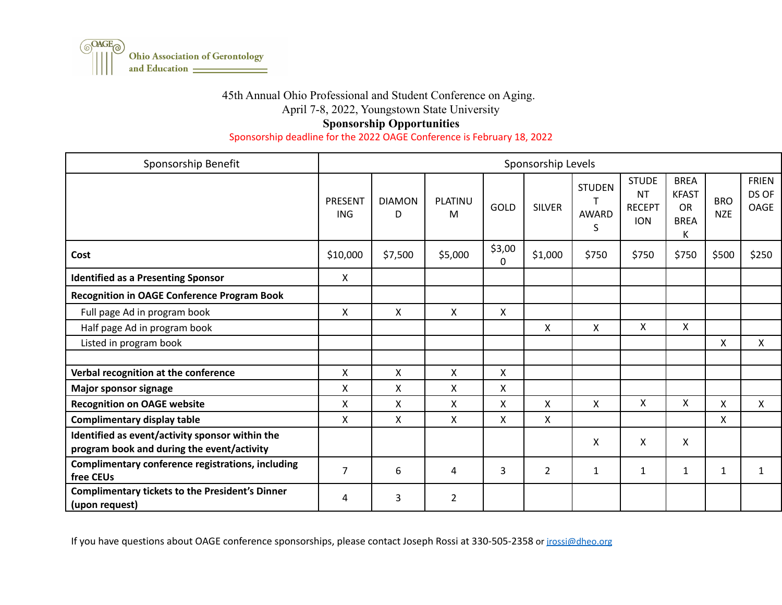

## 45th Annual Ohio Professional and Student Conference on Aging.

April 7-8, 2022, Youngstown State University

## **Sponsorship Opportunities**

Sponsorship deadline for the 2022 OAGE Conference is February 18, 2022

| Sponsorship Benefit                                                                           | Sponsorship Levels           |                    |                     |                    |               |                                    |                                                          |                                                              |                          |                                      |
|-----------------------------------------------------------------------------------------------|------------------------------|--------------------|---------------------|--------------------|---------------|------------------------------------|----------------------------------------------------------|--------------------------------------------------------------|--------------------------|--------------------------------------|
|                                                                                               | <b>PRESENT</b><br><b>ING</b> | <b>DIAMON</b><br>D | <b>PLATINU</b><br>M | GOLD               | <b>SILVER</b> | <b>STUDEN</b><br><b>AWARD</b><br>S | <b>STUDE</b><br><b>NT</b><br><b>RECEPT</b><br><b>ION</b> | <b>BREA</b><br><b>KFAST</b><br><b>OR</b><br><b>BREA</b><br>Κ | <b>BRO</b><br><b>NZE</b> | <b>FRIEN</b><br>DS OF<br><b>OAGE</b> |
| Cost                                                                                          | \$10,000                     | \$7,500            | \$5,000             | \$3,00<br>$\Omega$ | \$1,000       | \$750                              | \$750                                                    | \$750                                                        | \$500                    | \$250                                |
| <b>Identified as a Presenting Sponsor</b>                                                     | $\mathsf{X}$                 |                    |                     |                    |               |                                    |                                                          |                                                              |                          |                                      |
| <b>Recognition in OAGE Conference Program Book</b>                                            |                              |                    |                     |                    |               |                                    |                                                          |                                                              |                          |                                      |
| Full page Ad in program book                                                                  | X                            | X                  | $\mathsf{X}$        | X                  |               |                                    |                                                          |                                                              |                          |                                      |
| Half page Ad in program book                                                                  |                              |                    |                     |                    | X             | X                                  | X                                                        | X                                                            |                          |                                      |
| Listed in program book                                                                        |                              |                    |                     |                    |               |                                    |                                                          |                                                              | X                        | $\mathsf{X}$                         |
|                                                                                               |                              |                    |                     |                    |               |                                    |                                                          |                                                              |                          |                                      |
| Verbal recognition at the conference                                                          | X                            | $\mathsf{X}$       | $\mathsf{X}$        | X                  |               |                                    |                                                          |                                                              |                          |                                      |
| <b>Major sponsor signage</b>                                                                  | X                            | X                  | X                   | X                  |               |                                    |                                                          |                                                              |                          |                                      |
| <b>Recognition on OAGE website</b>                                                            | X                            | X                  | X                   | X                  | X             | Χ                                  | X                                                        | X                                                            | X                        | X                                    |
| <b>Complimentary display table</b>                                                            | X                            | X                  | X                   | X                  | X             |                                    |                                                          |                                                              | X                        |                                      |
| Identified as event/activity sponsor within the<br>program book and during the event/activity |                              |                    |                     |                    |               | X                                  | X                                                        | X                                                            |                          |                                      |
| Complimentary conference registrations, including<br>free CEUs                                | 7                            | 6                  | 4                   | 3                  | 2             | $\mathbf{1}$                       | 1                                                        | $\mathbf{1}$                                                 | $\mathbf{1}$             | 1                                    |
| <b>Complimentary tickets to the President's Dinner</b><br>(upon request)                      | 4                            | 3                  | $\overline{2}$      |                    |               |                                    |                                                          |                                                              |                          |                                      |

If you have questions about OAGE conference sponsorships, please contact Joseph Rossi at 330-505-2358 or [jrossi@dheo.org](mailto:jrossi@dheo.org)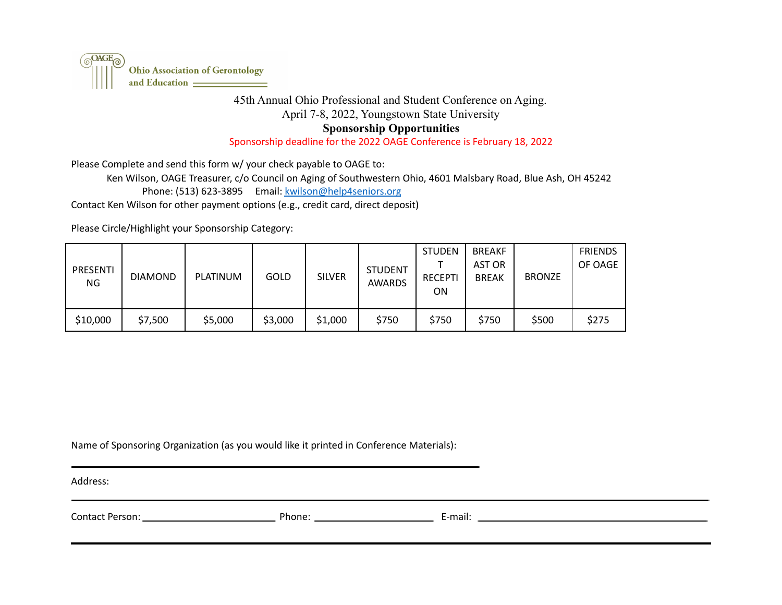

## 45th Annual Ohio Professional and Student Conference on Aging. April 7-8, 2022, Youngstown State University **Sponsorship Opportunities**

Sponsorship deadline for the 2022 OAGE Conference is February 18, 2022

Please Complete and send this form w/ your check payable to OAGE to:

Ken Wilson, OAGE Treasurer, c/o Council on Aging of Southwestern Ohio, 4601 Malsbary Road, Blue Ash, OH 45242 Phone: (513) 623-3895 Email: [kwilson@help4seniors.org](mailto:kwilson@help4seniors.org) Contact Ken Wilson for other payment options (e.g., credit card, direct deposit)

Please Circle/Highlight your Sponsorship Category:

| PRESENTI<br>NG. | <b>DIAMOND</b> | <b>PLATINUM</b> | <b>GOLD</b> | <b>SILVER</b> | <b>STUDENT</b><br><b>AWARDS</b> | <b>STUDEN</b><br><b>RECEPTI</b><br>ΟN | <b>BREAKF</b><br>AST OR<br><b>BREAK</b> | <b>BRONZE</b> | <b>FRIENDS</b><br>OF OAGE |
|-----------------|----------------|-----------------|-------------|---------------|---------------------------------|---------------------------------------|-----------------------------------------|---------------|---------------------------|
| \$10,000        | \$7,500        | \$5,000         | \$3,000     | \$1,000       | \$750                           | \$750                                 | \$750                                   | \$500         | \$275                     |

Name of Sponsoring Organization (as you would like it printed in Conference Materials):

Address:

| Contact<br>Person: | Phone: | E-mail: |
|--------------------|--------|---------|
|                    |        |         |